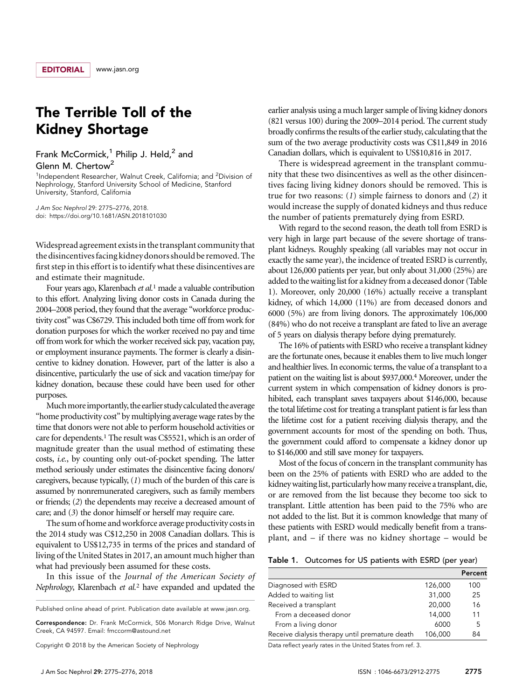## The Terrible Toll of the Kidney Shortage

Frank McCormick,<sup>1</sup> Philip J. Held,<sup>2</sup> and Glenn M. Chertow<sup>2</sup>

<sup>1</sup>Independent Researcher, Walnut Creek, California; and <sup>2</sup>Division of Nephrology, Stanford University School of Medicine, Stanford University, Stanford, California

J Am Soc Nephrol 29: 2775–2776, 2018. doi:<https://doi.org/10.1681/ASN.2018101030>

Widespread agreement exists in the transplant community that the disincentivesfacing kidney donors should be removed. The first step in this effort is to identify what these disincentives are and estimate their magnitude.

Four years ago, Klarenbach et al.<sup>1</sup> made a valuable contribution to this effort. Analyzing living donor costs in Canada during the 2004–2008 period, they found that the average "workforce productivity cost" was C\$6729. This included both time off from work for donation purposes for which the worker received no pay and time off from work for which the worker received sick pay, vacation pay, or employment insurance payments. The former is clearly a disincentive to kidney donation. However, part of the latter is also a disincentive, particularly the use of sick and vacation time/pay for kidney donation, because these could have been used for other purposes.

Much more importantly, the earlier study calculated the average "home productivity cost" by multiplying average wage rates by the time that donors were not able to perform household activities or care for dependents.1 The result was C\$5521, which is an order of magnitude greater than the usual method of estimating these costs, i.e., by counting only out-of-pocket spending. The latter method seriously under estimates the disincentive facing donors/ caregivers, because typically, (1) much of the burden of this care is assumed by nonremunerated caregivers, such as family members or friends; (2) the dependents may receive a decreased amount of care; and (3) the donor himself or herself may require care.

The sum of home and workforce average productivity costs in the 2014 study was C\$12,250 in 2008 Canadian dollars. This is equivalent to US\$12,735 in terms of the prices and standard of living of the United States in 2017, an amount much higher than what had previously been assumed for these costs.

In this issue of the Journal of the American Society of Nephrology, Klarenbach et al.<sup>2</sup> have expanded and updated the

Correspondence: Dr. Frank McCormick, 506 Monarch Ridge Drive, Walnut Creek, CA 94597. Email: [fmccorm@astound.net](mailto:fmccorm@astound.net)

Copyright © 2018 by the American Society of Nephrology

earlier analysis using a much larger sample of living kidney donors (821 versus 100) during the 2009–2014 period. The current study broadly confirms the results of the earlier study, calculating that the sum of the two average productivity costs was C\$11,849 in 2016 Canadian dollars, which is equivalent to US\$10,816 in 2017.

There is widespread agreement in the transplant community that these two disincentives as well as the other disincentives facing living kidney donors should be removed. This is true for two reasons: (1) simple fairness to donors and (2) it would increase the supply of donated kidneys and thus reduce the number of patients prematurely dying from ESRD.

With regard to the second reason, the death toll from ESRD is very high in large part because of the severe shortage of transplant kidneys. Roughly speaking (all variables may not occur in exactly the same year), the incidence of treated ESRD is currently, about 126,000 patients per year, but only about 31,000 (25%) are added to the waiting list for a kidney from a deceased donor (Table 1). Moreover, only 20,000 (16%) actually receive a transplant kidney, of which 14,000 (11%) are from deceased donors and 6000 (5%) are from living donors. The approximately 106,000 (84%) who do not receive a transplant are fated to live an average of 5 years on dialysis therapy before dying prematurely.

The 16% of patients with ESRD who receive a transplant kidney are the fortunate ones, because it enables them to live much longer and healthier lives. In economic terms, the value of a transplant to a patient on the waiting list is about \$937,000.4 Moreover, under the current system in which compensation of kidney donors is prohibited, each transplant saves taxpayers about \$146,000, because the total lifetime cost for treating a transplant patient is far less than the lifetime cost for a patient receiving dialysis therapy, and the government accounts for most of the spending on both. Thus, the government could afford to compensate a kidney donor up to \$146,000 and still save money for taxpayers.

Most of the focus of concern in the transplant community has been on the 25% of patients with ESRD who are added to the kidney waiting list, particularly how many receive a transplant, die, or are removed from the list because they become too sick to transplant. Little attention has been paid to the 75% who are not added to the list. But it is common knowledge that many of these patients with ESRD would medically benefit from a transplant, and – if there was no kidney shortage – would be

Table 1. Outcomes for US patients with ESRD (per year)

|                                                |         | Percent |
|------------------------------------------------|---------|---------|
| Diagnosed with ESRD                            | 126,000 | 100     |
| Added to waiting list                          | 31,000  | 25      |
| Received a transplant                          | 20,000  | 16      |
| From a deceased donor                          | 14,000  | 11      |
| From a living donor                            | 6000    | 5       |
| Receive dialysis therapy until premature death | 106,000 | 84      |

Data reflect yearly rates in the United States from ref. 3.

Published online ahead of print. Publication date available at [www.jasn.org](http://www.jasn.org).